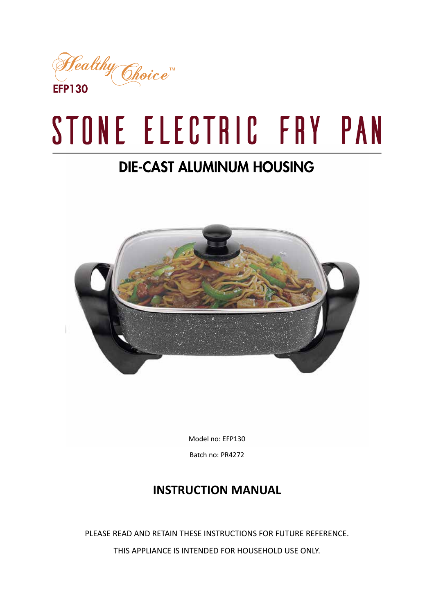

# STONE ELECTRIC FRY PAN

# **DIE-CAST ALUMINUM HOUSING**



Model no: EFP130

Batch no: PR4272

# **INSTRUCTION MANUAL**

PLEASE READ AND RETAIN THESE INSTRUCTIONS FOR FUTURE REFERENCE. THIS APPLIANCE IS INTENDED FOR HOUSEHOLD USE ONLY.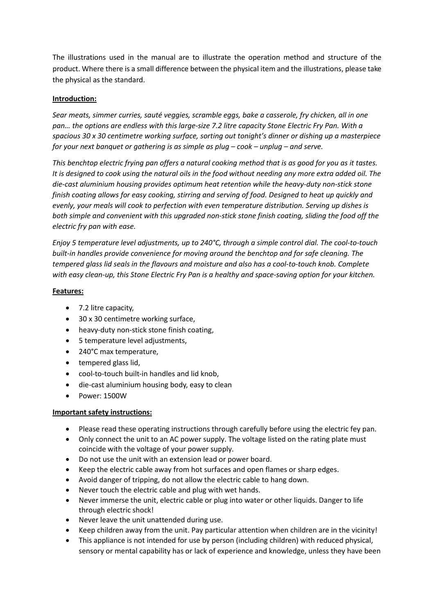The illustrations used in the manual are to illustrate the operation method and structure of the product. Where there is a small difference between the physical item and the illustrations, please take the physical as the standard.

#### **Introduction:**

*Sear meats, simmer curries, sauté veggies, scramble eggs, bake a casserole, fry chicken, all in one pan… the options are endless with this large-size 7.2 litre capacity Stone Electric Fry Pan. With a spacious 30 x 30 centimetre working surface, sorting out tonight's dinner or dishing up a masterpiece for your next banquet or gathering is as simple as plug – cook – unplug – and serve.*

*This benchtop electric frying pan offers a natural cooking method that is as good for you as it tastes. It is designed to cook using the natural oils in the food without needing any more extra added oil. The die-cast aluminium housing provides optimum heat retention while the heavy-duty non-stick stone finish coating allows for easy cooking, stirring and serving of food. Designed to heat up quickly and evenly, your meals will cook to perfection with even temperature distribution. Serving up dishes is both simple and convenient with this upgraded non-stick stone finish coating, sliding the food off the electric fry pan with ease.*

*Enjoy 5 temperature level adjustments, up to 240°C, through a simple control dial. The cool-to-touch built-in handles provide convenience for moving around the benchtop and for safe cleaning. The tempered glass lid seals in the flavours and moisture and also has a cool-to-touch knob. Complete with easy clean-up, this Stone Electric Fry Pan is a healthy and space-saving option for your kitchen.*

#### **Features:**

- $\bullet$  7.2 litre capacity,
- 30 x 30 centimetre working surface,
- heavy-duty non-stick stone finish coating,
- 5 temperature level adjustments,
- 240°C max temperature,
- $\bullet$  tempered glass lid,
- cool-to-touch built-in handles and lid knob,
- die-cast aluminium housing body, easy to clean
- Power: 1500W

#### **Important safety instructions:**

- Please read these operating instructions through carefully before using the electric fey pan.
- Only connect the unit to an AC power supply. The voltage listed on the rating plate must coincide with the voltage of your power supply.
- Do not use the unit with an extension lead or power board.
- Keep the electric cable away from hot surfaces and open flames or sharp edges.
- Avoid danger of tripping, do not allow the electric cable to hang down.
- Never touch the electric cable and plug with wet hands.
- Never immerse the unit, electric cable or plug into water or other liquids. Danger to life through electric shock!
- Never leave the unit unattended during use.
- x Keep children away from the unit. Pay particular attention when children are in the vicinity!
- This appliance is not intended for use by person (including children) with reduced physical, sensory or mental capability has or lack of experience and knowledge, unless they have been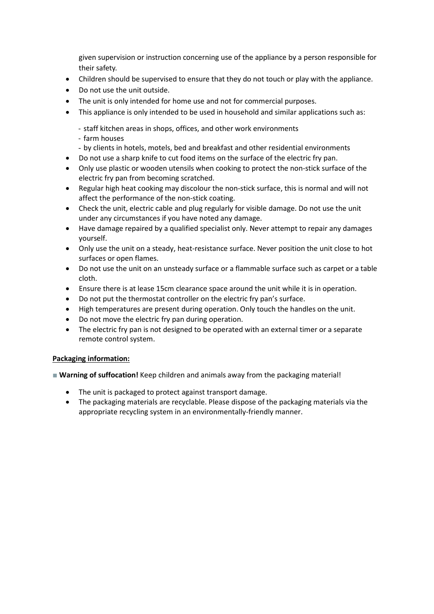given supervision or instruction concerning use of the appliance by a person responsible for their safety.

- Children should be supervised to ensure that they do not touch or play with the appliance.
- Do not use the unit outside.
- The unit is only intended for home use and not for commercial purposes.
- This appliance is only intended to be used in household and similar applications such as:
	- staff kitchen areas in shops, offices, and other work environments
	- farm houses
	- by clients in hotels, motels, bed and breakfast and other residential environments
- Do not use a sharp knife to cut food items on the surface of the electric fry pan.
- Only use plastic or wooden utensils when cooking to protect the non-stick surface of the electric fry pan from becoming scratched.
- Regular high heat cooking may discolour the non-stick surface, this is normal and will not affect the performance of the non-stick coating.
- Check the unit, electric cable and plug regularly for visible damage. Do not use the unit under any circumstances if you have noted any damage.
- Have damage repaired by a qualified specialist only. Never attempt to repair any damages yourself.
- Only use the unit on a steady, heat-resistance surface. Never position the unit close to hot surfaces or open flames.
- Do not use the unit on an unsteady surface or a flammable surface such as carpet or a table cloth.
- Ensure there is at lease 15cm clearance space around the unit while it is in operation.
- Do not put the thermostat controller on the electric fry pan's surface.
- High temperatures are present during operation. Only touch the handles on the unit.
- Do not move the electric fry pan during operation.
- The electric fry pan is not designed to be operated with an external timer or a separate remote control system.

#### **Packaging information:**

- **Narning of suffocation!** Keep children and animals away from the packaging material!
	- The unit is packaged to protect against transport damage.
	- The packaging materials are recyclable. Please dispose of the packaging materials via the appropriate recycling system in an environmentally-friendly manner.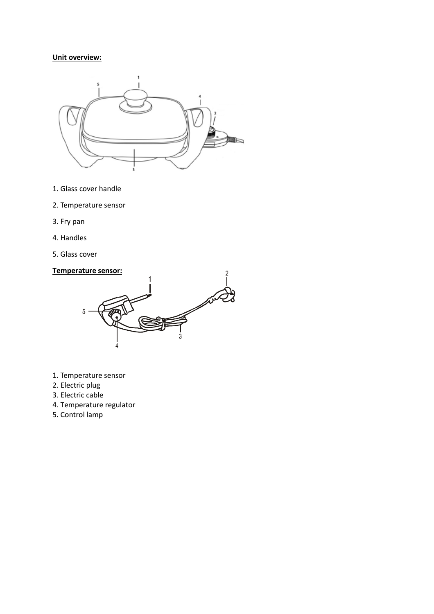# **Unit overview:**



- 1. Glass cover handle
- 2. Temperature sensor
- 3. Fry pan
- 4. Handles
- 5. Glass cover

#### **Temperature sensor:**



- 1. Temperature sensor
- 2. Electric plug
- 3. Electric cable
- 4. Temperature regulator
- 5. Control lamp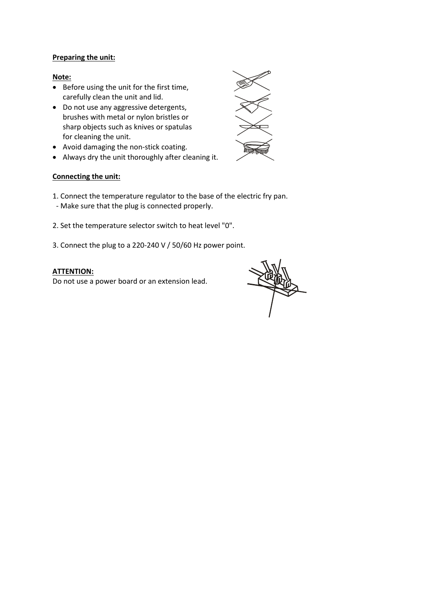#### **Preparing the unit:**

#### **Note:**

- Before using the unit for the first time, carefully clean the unit and lid.
- Do not use any aggressive detergents, brushes with metal or nylon bristles or sharp objects such as knives or spatulas for cleaning the unit.
- Avoid damaging the non-stick coating.
- Always dry the unit thoroughly after cleaning it.



#### **Connecting the unit:**

- 1. Connect the temperature regulator to the base of the electric fry pan.
- Make sure that the plug is connected properly.
- 2. Set the temperature selector switch to heat level "0".
- 3. Connect the plug to a 220-240 V / 50/60 Hz power point.

#### **ATTENTION:**

Do not use a power board or an extension lead.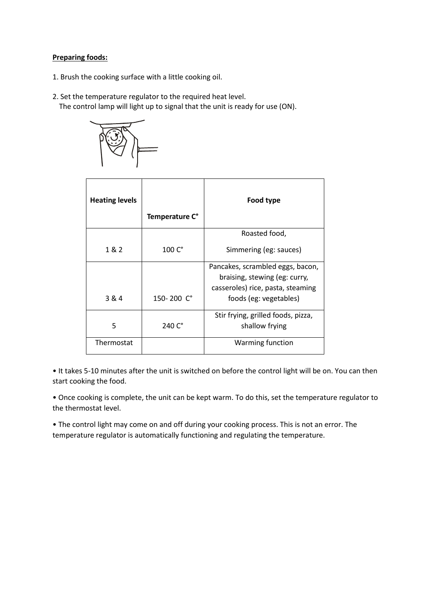#### **Preparing foods:**

- 1. Brush the cooking surface with a little cooking oil.
- 2. Set the temperature regulator to the required heat level. The control lamp will light up to signal that the unit is ready for use (ON).



| <b>Heating levels</b> | Temperature C°  | Food type                                                                                                                        |
|-----------------------|-----------------|----------------------------------------------------------------------------------------------------------------------------------|
|                       |                 | Roasted food,                                                                                                                    |
| 1 & 2                 | $100C$ °        | Simmering (eg: sauces)                                                                                                           |
| 3 & 4                 | 150-200 C°      | Pancakes, scrambled eggs, bacon,<br>braising, stewing (eg: curry,<br>casseroles) rice, pasta, steaming<br>foods (eg: vegetables) |
| 5                     | 240 $C^{\circ}$ | Stir frying, grilled foods, pizza,<br>shallow frying                                                                             |
| Thermostat            |                 | <b>Warming function</b>                                                                                                          |

• It takes 5-10 minutes after the unit is switched on before the control light will be on. You can then start cooking the food.

• Once cooking is complete, the unit can be kept warm. To do this, set the temperature regulator to the thermostat level.

• The control light may come on and off during your cooking process. This is not an error. The temperature regulator is automatically functioning and regulating the temperature.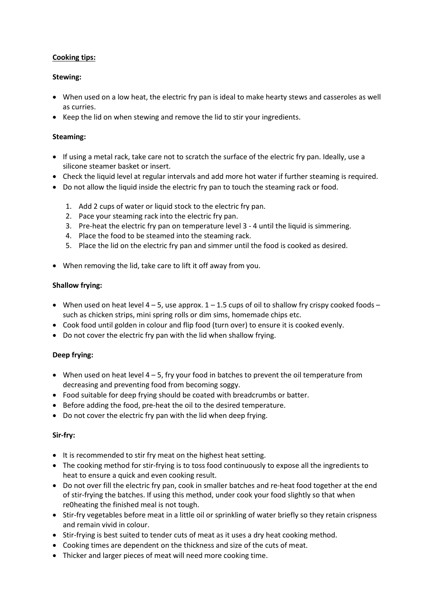#### **Cooking tips:**

#### **Stewing:**

- When used on a low heat, the electric fry pan is ideal to make hearty stews and casseroles as well as curries.
- Keep the lid on when stewing and remove the lid to stir your ingredients.

#### **Steaming:**

- If using a metal rack, take care not to scratch the surface of the electric fry pan. Ideally, use a silicone steamer basket or insert.
- Check the liquid level at regular intervals and add more hot water if further steaming is required.
- Do not allow the liquid inside the electric fry pan to touch the steaming rack or food.
	- 1. Add 2 cups of water or liquid stock to the electric fry pan.
	- 2. Pace your steaming rack into the electric fry pan.
	- 3. Pre-heat the electric fry pan on temperature level 3 4 until the liquid is simmering.
	- 4. Place the food to be steamed into the steaming rack.
	- 5. Place the lid on the electric fry pan and simmer until the food is cooked as desired.
- When removing the lid, take care to lift it off away from you.

#### **Shallow frying:**

- When used on heat level  $4 5$ , use approx.  $1 1.5$  cups of oil to shallow fry crispy cooked foods such as chicken strips, mini spring rolls or dim sims, homemade chips etc.
- Cook food until golden in colour and flip food (turn over) to ensure it is cooked evenly.
- Do not cover the electric fry pan with the lid when shallow frying.

### **Deep frying:**

- $\bullet$  When used on heat level 4 5, fry your food in batches to prevent the oil temperature from decreasing and preventing food from becoming soggy.
- Food suitable for deep frying should be coated with breadcrumbs or batter.
- Before adding the food, pre-heat the oil to the desired temperature.
- Do not cover the electric fry pan with the lid when deep frying.

#### **Sir-fry:**

- It is recommended to stir fry meat on the highest heat setting.
- The cooking method for stir-frying is to toss food continuously to expose all the ingredients to heat to ensure a quick and even cooking result.
- Do not over fill the electric fry pan, cook in smaller batches and re-heat food together at the end of stir-frying the batches. If using this method, under cook your food slightly so that when re0heating the finished meal is not tough.
- Stir-fry vegetables before meat in a little oil or sprinkling of water briefly so they retain crispness and remain vivid in colour.
- Stir-frying is best suited to tender cuts of meat as it uses a dry heat cooking method.
- Cooking times are dependent on the thickness and size of the cuts of meat.
- Thicker and larger pieces of meat will need more cooking time.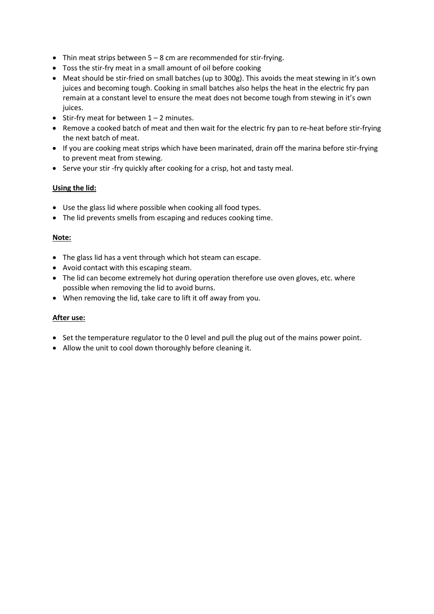- Thin meat strips between  $5 8$  cm are recommended for stir-frying.
- Toss the stir-fry meat in a small amount of oil before cooking
- Meat should be stir-fried on small batches (up to 300g). This avoids the meat stewing in it's own juices and becoming tough. Cooking in small batches also helps the heat in the electric fry pan remain at a constant level to ensure the meat does not become tough from stewing in it's own juices.
- $\bullet$  Stir-fry meat for between  $1 2$  minutes.
- Remove a cooked batch of meat and then wait for the electric fry pan to re-heat before stir-frying the next batch of meat.
- If you are cooking meat strips which have been marinated, drain off the marina before stir-frying to prevent meat from stewing.
- Serve your stir -fry quickly after cooking for a crisp, hot and tasty meal.

#### **Using the lid:**

- Use the glass lid where possible when cooking all food types.
- The lid prevents smells from escaping and reduces cooking time.

#### **Note:**

- The glass lid has a vent through which hot steam can escape.
- Avoid contact with this escaping steam.
- The lid can become extremely hot during operation therefore use oven gloves, etc. where possible when removing the lid to avoid burns.
- When removing the lid, take care to lift it off away from you.

#### **After use:**

- Set the temperature regulator to the 0 level and pull the plug out of the mains power point.
- Allow the unit to cool down thoroughly before cleaning it.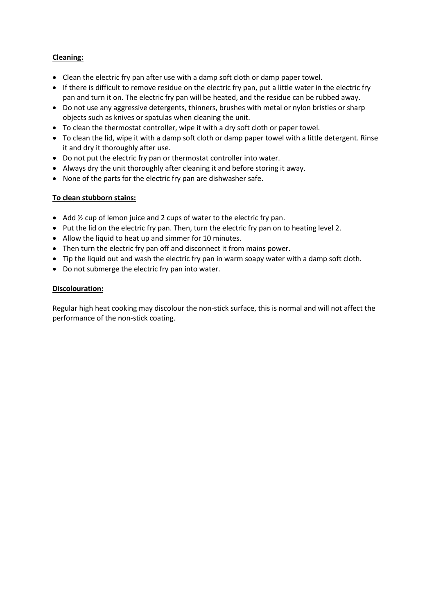#### **Cleaning:**

- Clean the electric fry pan after use with a damp soft cloth or damp paper towel.
- If there is difficult to remove residue on the electric fry pan, put a little water in the electric fry pan and turn it on. The electric fry pan will be heated, and the residue can be rubbed away.
- Do not use any aggressive detergents, thinners, brushes with metal or nylon bristles or sharp objects such as knives or spatulas when cleaning the unit.
- To clean the thermostat controller, wipe it with a dry soft cloth or paper towel.
- To clean the lid, wipe it with a damp soft cloth or damp paper towel with a little detergent. Rinse it and dry it thoroughly after use.
- Do not put the electric fry pan or thermostat controller into water.
- Always dry the unit thoroughly after cleaning it and before storing it away.
- None of the parts for the electric fry pan are dishwasher safe.

#### **To clean stubborn stains:**

- Add  $\frac{1}{2}$  cup of lemon juice and 2 cups of water to the electric fry pan.
- Put the lid on the electric fry pan. Then, turn the electric fry pan on to heating level 2.
- Allow the liquid to heat up and simmer for 10 minutes.
- Then turn the electric fry pan off and disconnect it from mains power.
- Tip the liquid out and wash the electric fry pan in warm soapy water with a damp soft cloth.
- Do not submerge the electric fry pan into water.

#### **Discolouration:**

Regular high heat cooking may discolour the non-stick surface, this is normal and will not affect the performance of the non-stick coating.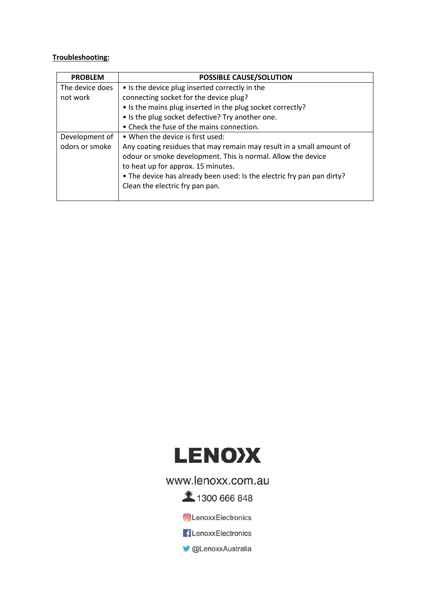# **Troubleshooting:**

| <b>PROBLEM</b>  | POSSIBLE CAUSE/SOLUTION                                                |  |  |
|-----------------|------------------------------------------------------------------------|--|--|
| The device does | • Is the device plug inserted correctly in the                         |  |  |
| not work        | connecting socket for the device plug?                                 |  |  |
|                 | • Is the mains plug inserted in the plug socket correctly?             |  |  |
|                 | • Is the plug socket defective? Try another one.                       |  |  |
|                 | • Check the fuse of the mains connection.                              |  |  |
| Development of  | • When the device is first used:                                       |  |  |
| odors or smoke  | Any coating residues that may remain may result in a small amount of   |  |  |
|                 | odour or smoke development. This is normal. Allow the device           |  |  |
|                 | to heat up for approx. 15 minutes.                                     |  |  |
|                 | • The device has already been used: Is the electric fry pan pan dirty? |  |  |
|                 | Clean the electric fry pan pan.                                        |  |  |
|                 |                                                                        |  |  |



# www.lenoxx.com.au

**2** 1300 666 848

C LenoxxElectronics

**f** LenoxxElectronics

CLenoxxAustralia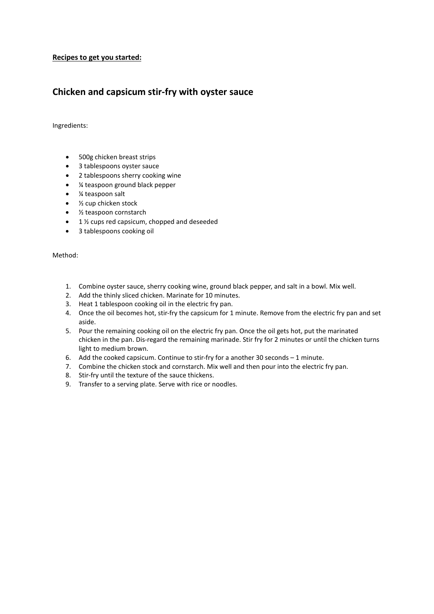#### **Recipes to get you started:**

# **Chicken and capsicum stir-fry with oyster sauce**

Ingredients:

- 500g chicken breast strips
- 3 tablespoons oyster sauce
- 2 tablespoons sherry cooking wine
- ¼ teaspoon ground black pepper
- ¼ teaspoon salt
- $\bullet$  % cup chicken stock
- $\bullet$  % teaspoon cornstarch
- $\bullet$  1 % cups red capsicum, chopped and deseeded
- 3 tablespoons cooking oil

- 1. Combine oyster sauce, sherry cooking wine, ground black pepper, and salt in a bowl. Mix well.
- 2. Add the thinly sliced chicken. Marinate for 10 minutes.
- 3. Heat 1 tablespoon cooking oil in the electric fry pan.
- 4. Once the oil becomes hot, stir-fry the capsicum for 1 minute. Remove from the electric fry pan and set aside.
- 5. Pour the remaining cooking oil on the electric fry pan. Once the oil gets hot, put the marinated chicken in the pan. Dis-regard the remaining marinade. Stir fry for 2 minutes or until the chicken turns light to medium brown.
- 6. Add the cooked capsicum. Continue to stir-fry for a another 30 seconds 1 minute.
- 7. Combine the chicken stock and cornstarch. Mix well and then pour into the electric fry pan.
- 8. Stir-fry until the texture of the sauce thickens.
- 9. Transfer to a serving plate. Serve with rice or noodles.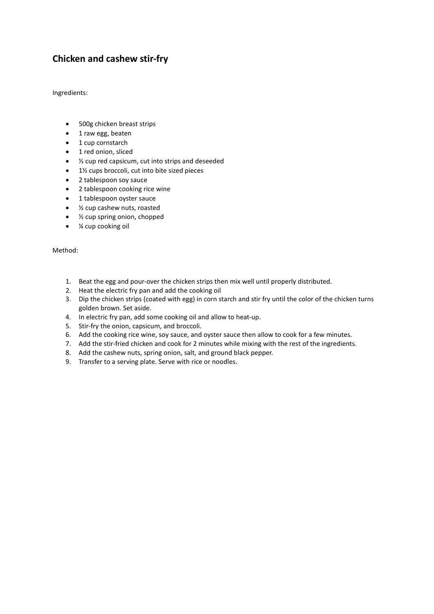# **Chicken and cashew stir-fry**

Ingredients:

- 500g chicken breast strips
- $\bullet$  1 raw egg, beaten
- $\bullet$  1 cup cornstarch
- 1 red onion, sliced
- $\bullet$   $\frac{1}{2}$  cup red capsicum, cut into strips and deseeded
- $\bullet$  1½ cups broccoli, cut into bite sized pieces
- 2 tablespoon soy sauce
- 2 tablespoon cooking rice wine
- 1 tablespoon oyster sauce
- $\bullet$  % cup cashew nuts, roasted
- $\bullet$  % cup spring onion, chopped
- ¼ cup cooking oil

- 1. Beat the egg and pour-over the chicken strips then mix well until properly distributed.
- 2. Heat the electric fry pan and add the cooking oil
- 3. Dip the chicken strips (coated with egg) in corn starch and stir fry until the color of the chicken turns golden brown. Set aside.
- 4. In electric fry pan, add some cooking oil and allow to heat-up.
- 5. Stir-fry the onion, capsicum, and broccoli.
- 6. Add the cooking rice wine, soy sauce, and oyster sauce then allow to cook for a few minutes.
- 7. Add the stir-fried chicken and cook for 2 minutes while mixing with the rest of the ingredients.
- 8. Add the cashew nuts, spring onion, salt, and ground black pepper.
- 9. Transfer to a serving plate. Serve with rice or noodles.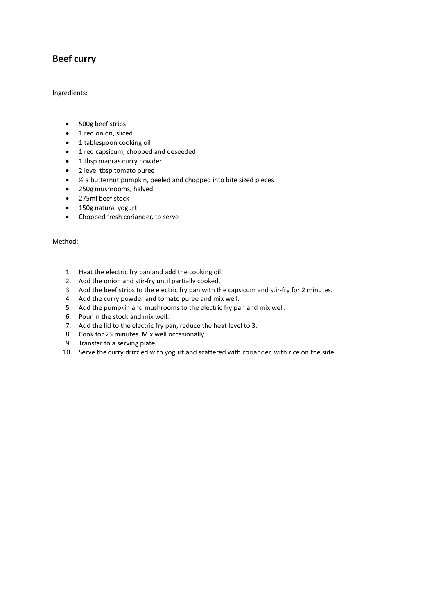# **Beef curry**

Ingredients:

- 500g beef strips
- 1 red onion, sliced
- 1 tablespoon cooking oil
- 1 red capsicum, chopped and deseeded
- $\bullet$  1 tbsp madras curry powder
- 2 level tbsp tomato puree
- $\bullet$  % a butternut pumpkin, peeled and chopped into bite sized pieces
- 250g mushrooms, halved
- 275ml beef stock
- 150g natural yogurt
- Chopped fresh coriander, to serve

- 1. Heat the electric fry pan and add the cooking oil.
- 2. Add the onion and stir-fry until partially cooked.
- 3. Add the beef strips to the electric fry pan with the capsicum and stir-fry for 2 minutes.
- 4. Add the curry powder and tomato puree and mix well.
- 5. Add the pumpkin and mushrooms to the electric fry pan and mix well.
- 6. Pour in the stock and mix well.
- 7. Add the lid to the electric fry pan, reduce the heat level to 3.
- 8. Cook for 25 minutes. Mix well occasionally.
- 9. Transfer to a serving plate
- 10. Serve the curry drizzled with yogurt and scattered with coriander, with rice on the side.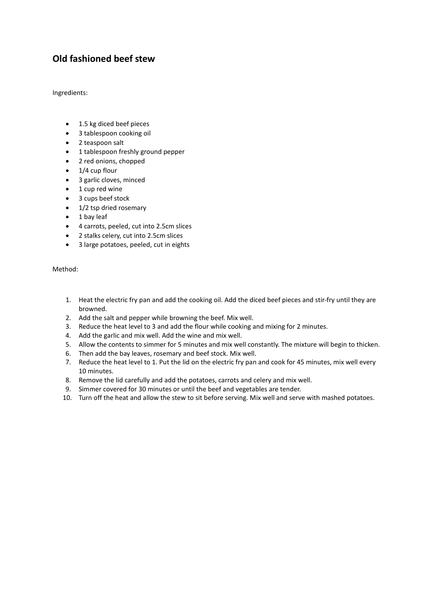# **Old fashioned beef stew**

Ingredients:

- $\bullet$  1.5 kg diced beef pieces
- 3 tablespoon cooking oil
- 2 teaspoon salt
- 1 tablespoon freshly ground pepper
- 2 red onions, chopped
- $\bullet$  1/4 cup flour
- 3 garlic cloves, minced
- $\bullet$  1 cup red wine
- 3 cups beef stock
- $\bullet$  1/2 tsp dried rosemary
- $\bullet$  1 bay leaf
- 4 carrots, peeled, cut into 2.5cm slices
- 2 stalks celery, cut into 2.5cm slices
- 3 large potatoes, peeled, cut in eights

- 1. Heat the electric fry pan and add the cooking oil. Add the diced beef pieces and stir-fry until they are browned.
- 2. Add the salt and pepper while browning the beef. Mix well.
- 3. Reduce the heat level to 3 and add the flour while cooking and mixing for 2 minutes.
- 4. Add the garlic and mix well. Add the wine and mix well.
- 5. Allow the contents to simmer for 5 minutes and mix well constantly. The mixture will begin to thicken.
- 6. Then add the bay leaves, rosemary and beef stock. Mix well.
- 7. Reduce the heat level to 1. Put the lid on the electric fry pan and cook for 45 minutes, mix well every 10 minutes.
- 8. Remove the lid carefully and add the potatoes, carrots and celery and mix well.
- 9. Simmer covered for 30 minutes or until the beef and vegetables are tender.
- 10. Turn off the heat and allow the stew to sit before serving. Mix well and serve with mashed potatoes.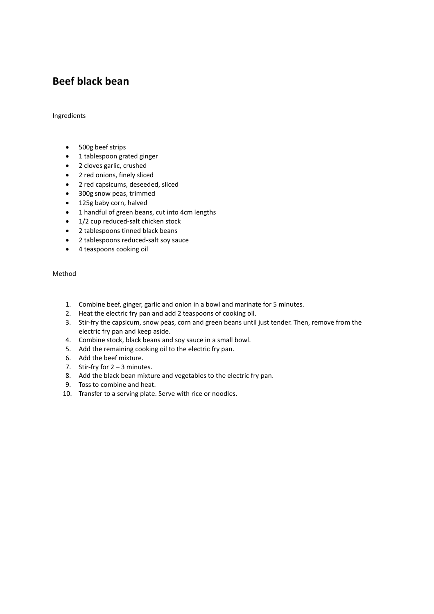# **Beef black bean**

#### Ingredients

- 500g beef strips
- 1 tablespoon grated ginger
- $\bullet$  2 cloves garlic, crushed
- 2 red onions, finely sliced
- 2 red capsicums, deseeded, sliced
- 300g snow peas, trimmed
- 125g baby corn, halved
- 1 handful of green beans, cut into 4cm lengths
- $\bullet$  1/2 cup reduced-salt chicken stock
- 2 tablespoons tinned black beans
- 2 tablespoons reduced-salt soy sauce
- 4 teaspoons cooking oil

- 1. Combine beef, ginger, garlic and onion in a bowl and marinate for 5 minutes.
- 2. Heat the electric fry pan and add 2 teaspoons of cooking oil.
- 3. Stir-fry the capsicum, snow peas, corn and green beans until just tender. Then, remove from the electric fry pan and keep aside.
- 4. Combine stock, black beans and soy sauce in a small bowl.
- 5. Add the remaining cooking oil to the electric fry pan.
- 6. Add the beef mixture.
- 7. Stir-fry for  $2 3$  minutes.
- 8. Add the black bean mixture and vegetables to the electric fry pan.
- 9. Toss to combine and heat.
- 10. Transfer to a serving plate. Serve with rice or noodles.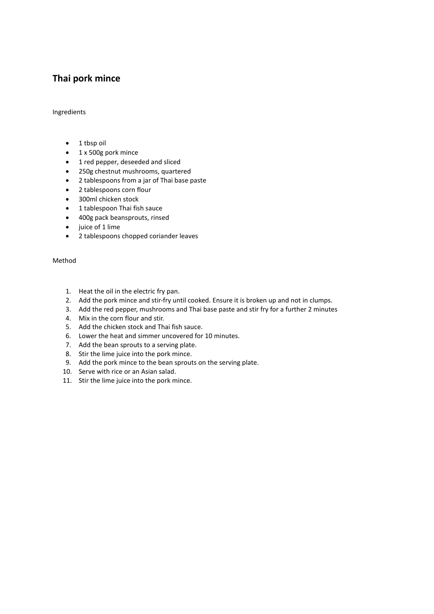# **Thai pork mince**

#### Ingredients

- $\bullet$  1 tbsp oil
- 1 x 500g pork mince
- 1 red pepper, deseeded and sliced
- 250g chestnut mushrooms, quartered
- 2 tablespoons from a jar of Thai base paste
- 2 tablespoons corn flour
- 300ml chicken stock
- 1 tablespoon Thai fish sauce
- 400g pack beansprouts, rinsed
- $\bullet$  juice of 1 lime
- 2 tablespoons chopped coriander leaves

- 1. Heat the oil in the electric fry pan.
- 2. Add the pork mince and stir-fry until cooked. Ensure it is broken up and not in clumps.
- 3. Add the red pepper, mushrooms and Thai base paste and stir fry for a further 2 minutes
- 4. Mix in the corn flour and stir.
- 5. Add the chicken stock and Thai fish sauce.
- 6. Lower the heat and simmer uncovered for 10 minutes.
- 7. Add the bean sprouts to a serving plate.
- 8. Stir the lime juice into the pork mince.
- 9. Add the pork mince to the bean sprouts on the serving plate.
- 10. Serve with rice or an Asian salad.
- 11. Stir the lime juice into the pork mince.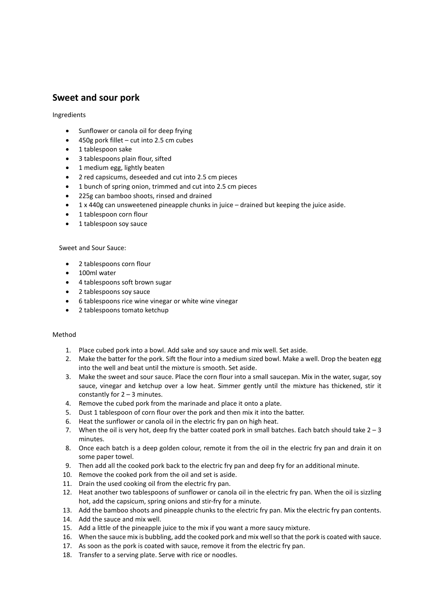# **Sweet and sour pork**

Ingredients

- Sunflower or canola oil for deep frying
- $\bullet$  450g pork fillet cut into 2.5 cm cubes
- 1 tablespoon sake
- 3 tablespoons plain flour, sifted
- 1 medium egg, lightly beaten
- 2 red capsicums, deseeded and cut into 2.5 cm pieces
- 1 bunch of spring onion, trimmed and cut into 2.5 cm pieces
- 225g can bamboo shoots, rinsed and drained
- x 1 x 440g can unsweetened pineapple chunks in juice drained but keeping the juice aside.
- 1 tablespoon corn flour
- 1 tablespoon soy sauce

Sweet and Sour Sauce:

- 2 tablespoons corn flour
- $\bullet$  100ml water
- 4 tablespoons soft brown sugar
- 2 tablespoons soy sauce
- 6 tablespoons rice wine vinegar or white wine vinegar
- 2 tablespoons tomato ketchup

- 1. Place cubed pork into a bowl. Add sake and soy sauce and mix well. Set aside.
- 2. Make the batter for the pork. Sift the flour into a medium sized bowl. Make a well. Drop the beaten egg into the well and beat until the mixture is smooth. Set aside.
- 3. Make the sweet and sour sauce. Place the corn flour into a small saucepan. Mix in the water, sugar, soy sauce, vinegar and ketchup over a low heat. Simmer gently until the mixture has thickened, stir it constantly for  $2 - 3$  minutes.
- 4. Remove the cubed pork from the marinade and place it onto a plate.
- 5. Dust 1 tablespoon of corn flour over the pork and then mix it into the batter.
- 6. Heat the sunflower or canola oil in the electric fry pan on high heat.
- 7. When the oil is very hot, deep fry the batter coated pork in small batches. Each batch should take  $2-3$ minutes.
- 8. Once each batch is a deep golden colour, remote it from the oil in the electric fry pan and drain it on some paper towel.
- 9. Then add all the cooked pork back to the electric fry pan and deep fry for an additional minute.
- 10. Remove the cooked pork from the oil and set is aside.
- 11. Drain the used cooking oil from the electric fry pan.
- 12. Heat another two tablespoons of sunflower or canola oil in the electric fry pan. When the oil is sizzling hot, add the capsicum, spring onions and stir-fry for a minute.
- 13. Add the bamboo shoots and pineapple chunks to the electric fry pan. Mix the electric fry pan contents.
- 14. Add the sauce and mix well.
- 15. Add a little of the pineapple juice to the mix if you want a more saucy mixture.
- 16. When the sauce mix is bubbling, add the cooked pork and mix well so that the pork is coated with sauce.
- 17. As soon as the pork is coated with sauce, remove it from the electric fry pan.
- 18. Transfer to a serving plate. Serve with rice or noodles.